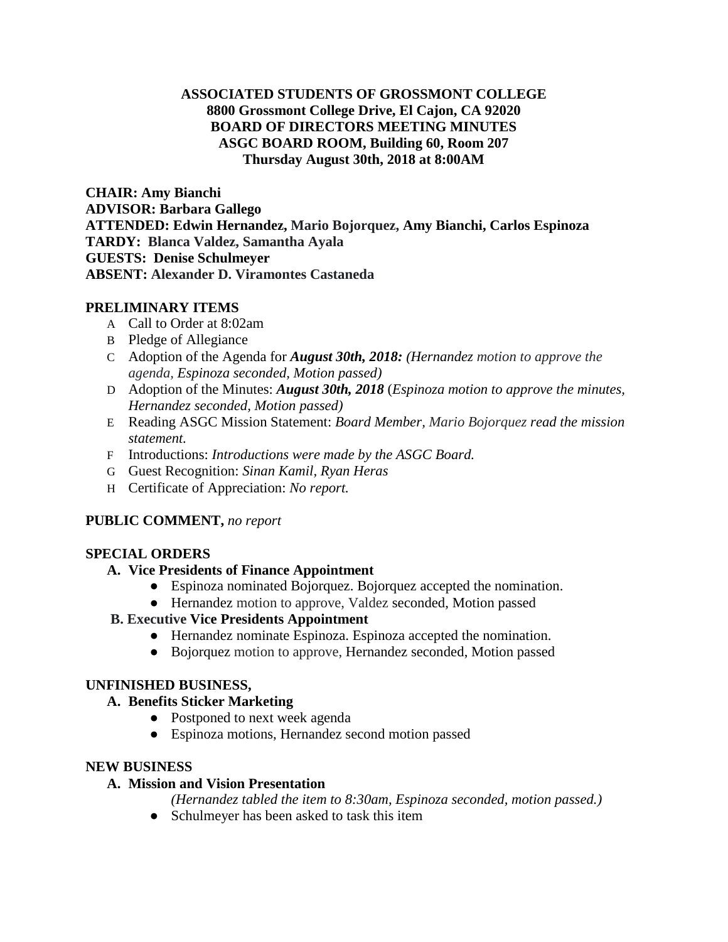### **ASSOCIATED STUDENTS OF GROSSMONT COLLEGE 8800 Grossmont College Drive, El Cajon, CA 92020 BOARD OF DIRECTORS MEETING MINUTES ASGC BOARD ROOM, Building 60, Room 207 Thursday August 30th, 2018 at 8:00AM**

**CHAIR: Amy Bianchi ADVISOR: Barbara Gallego ATTENDED: Edwin Hernandez, Mario Bojorquez, Amy Bianchi, Carlos Espinoza TARDY: Blanca Valdez, Samantha Ayala GUESTS: Denise Schulmeyer ABSENT: Alexander D. Viramontes Castaneda**

# **PRELIMINARY ITEMS**

- A Call to Order at 8:02am
- B Pledge of Allegiance
- C Adoption of the Agenda for *August 30th, 2018: (Hernandez motion to approve the agenda, Espinoza seconded, Motion passed)*
- D Adoption of the Minutes: *August 30th, 2018* (*Espinoza motion to approve the minutes, Hernandez seconded, Motion passed)*
- E Reading ASGC Mission Statement: *Board Member, Mario Bojorquez read the mission statement.*
- F Introductions: *Introductions were made by the ASGC Board.*
- G Guest Recognition: *Sinan Kamil, Ryan Heras*
- H Certificate of Appreciation: *No report.*

## **PUBLIC COMMENT,** *no report*

## **SPECIAL ORDERS**

## **A. Vice Presidents of Finance Appointment**

- Espinoza nominated Bojorquez. Bojorquez accepted the nomination.
- Hernandez motion to approve, Valdez seconded, Motion passed

## **B. Executive Vice Presidents Appointment**

- Hernandez nominate Espinoza. Espinoza accepted the nomination.
- Bojorquez motion to approve, Hernandez seconded, Motion passed

## **UNFINISHED BUSINESS,**

## **A. Benefits Sticker Marketing**

- Postponed to next week agenda
- Espinoza motions, Hernandez second motion passed

## **NEW BUSINESS**

#### **A. Mission and Vision Presentation**

- *(Hernandez tabled the item to 8:30am, Espinoza seconded, motion passed.)*
- Schulmeyer has been asked to task this item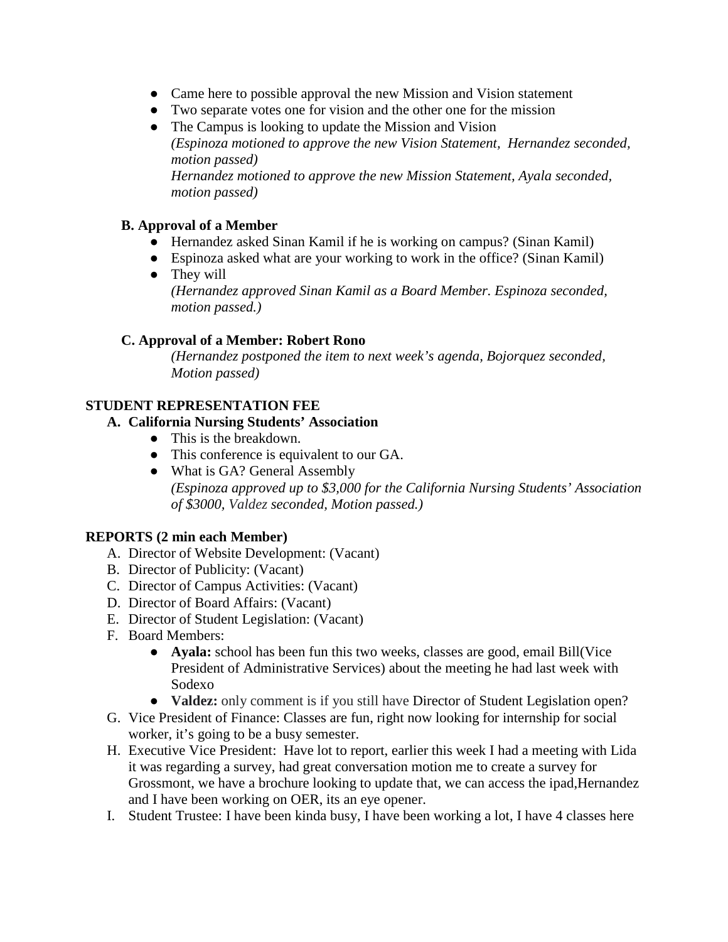- Came here to possible approval the new Mission and Vision statement
- Two separate votes one for vision and the other one for the mission
- The Campus is looking to update the Mission and Vision *(Espinoza motioned to approve the new Vision Statement, Hernandez seconded, motion passed) Hernandez motioned to approve the new Mission Statement, Ayala seconded, motion passed)*

## **B. Approval of a Member**

- Hernandez asked Sinan Kamil if he is working on campus? (Sinan Kamil)
- Espinoza asked what are your working to work in the office? (Sinan Kamil)
- They will *(Hernandez approved Sinan Kamil as a Board Member. Espinoza seconded, motion passed.)*

## **C. Approval of a Member: Robert Rono**

*(Hernandez postponed the item to next week's agenda, Bojorquez seconded, Motion passed)*

## **STUDENT REPRESENTATION FEE**

## **A. California Nursing Students' Association**

- This is the breakdown.
- This conference is equivalent to our GA.
- What is GA? General Assembly *(Espinoza approved up to \$3,000 for the California Nursing Students' Association of \$3000, Valdez seconded, Motion passed.)*

## **REPORTS (2 min each Member)**

- A. Director of Website Development: (Vacant)
- B. Director of Publicity: (Vacant)
- C. Director of Campus Activities: (Vacant)
- D. Director of Board Affairs: (Vacant)
- E. Director of Student Legislation: (Vacant)
- F. Board Members:
	- **Ayala:** school has been fun this two weeks, classes are good, email Bill(Vice President of Administrative Services) about the meeting he had last week with Sodexo
	- **Valdez:** only comment is if you still have Director of Student Legislation open?
- G. Vice President of Finance: Classes are fun, right now looking for internship for social worker, it's going to be a busy semester.
- H. Executive Vice President: Have lot to report, earlier this week I had a meeting with Lida it was regarding a survey, had great conversation motion me to create a survey for Grossmont, we have a brochure looking to update that, we can access the ipad,Hernandez and I have been working on OER, its an eye opener.
- I. Student Trustee: I have been kinda busy, I have been working a lot, I have 4 classes here